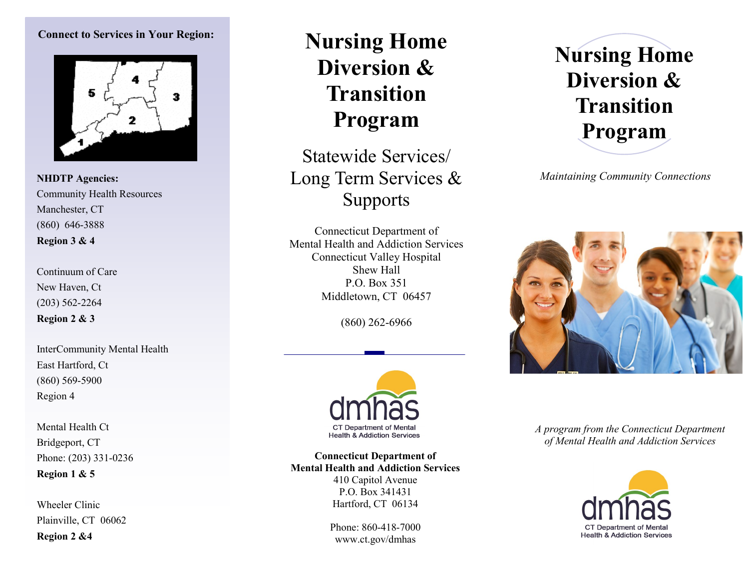#### **Connect to Services in Your Region:**



**NHDTP Agencies:** Community Health Resources Manchester, CT (860) 646-3888 **Region 3 & 4**

Continuum of Care New Haven, Ct (203) 562-2264 **Region 2 & 3**

InterCommunity Mental Health East Hartford, Ct (860) 569-5900 Region 4

Mental Health Ct Bridgeport, CT Phone: (203) 331-0236 **Region 1 & 5**

Wheeler Clinic Plainville, CT 06062 **Region 2 &4**

## **Nursing Home Diversion & Transition Program**

Statewide Services/ Long Term Services & **Supports** 

Connecticut Department of Mental Health and Addiction Services Connecticut Valley Hospital Shew Hall P.O. Box 351 Middletown, CT 06457

(860) 262-6966



**Connecticut Department of Mental Health and Addiction Services** 410 Capitol Avenue P.O. Box 341431 Hartford, CT 06134

> Phone: 860-418-7000 www.ct.gov/dmhas

# **Nursing Home Diversion & Transition Program**

*Maintaining Community Connections*



*A program from the Connecticut Department of Mental Health and Addiction Services*